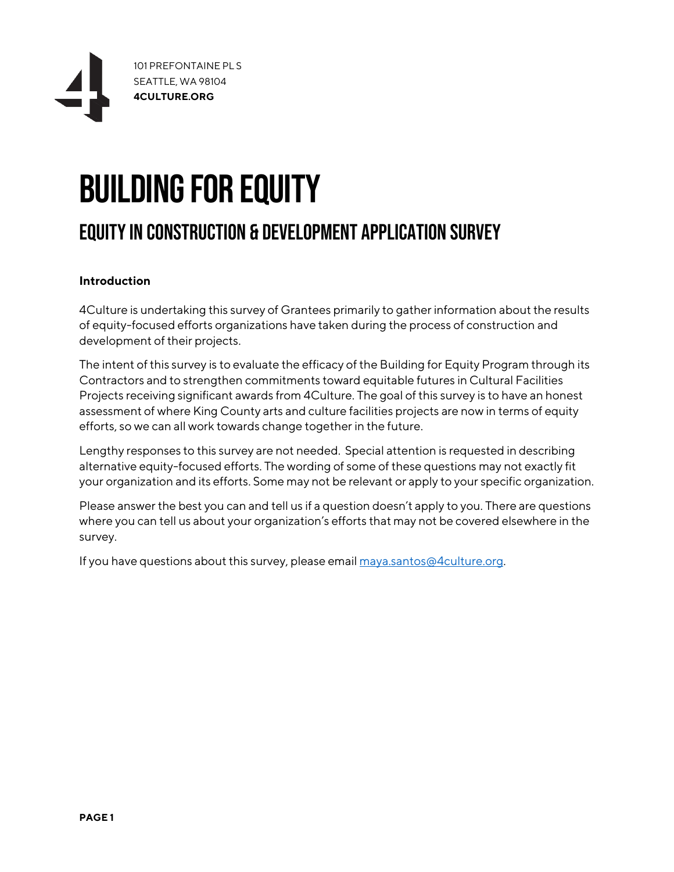

# BUILDING FOR EQUITY

# EQUITY IN CONSTRUCTION & DEVELOPMENT APPLICATION SURVEY

## **Introduction**

4Culture is undertaking this survey of Grantees primarily to gather information about the results of equity-focused efforts organizations have taken during the process of construction and development of their projects.

The intent of this survey is to evaluate the efficacy of the Building for Equity Program through its Contractors and to strengthen commitments toward equitable futures in Cultural Facilities Projects receiving significant awards from 4Culture. The goal of this survey is to have an honest assessment of where King County arts and culture facilities projects are now in terms of equity efforts, so we can all work towards change together in the future.

Lengthy responses to this survey are not needed. Special attention is requested in describing alternative equity-focused efforts. The wording of some of these questions may not exactly fit your organization and its efforts. Some may not be relevant or apply to your specific organization.

Please answer the best you can and tell us if a question doesn't apply to you. There are questions where you can tell us about your organization's efforts that may not be covered elsewhere in the survey.

If you have questions about this survey, please emai[l maya.santos@4culture.org.](mailto:maya.santos@4culture.org)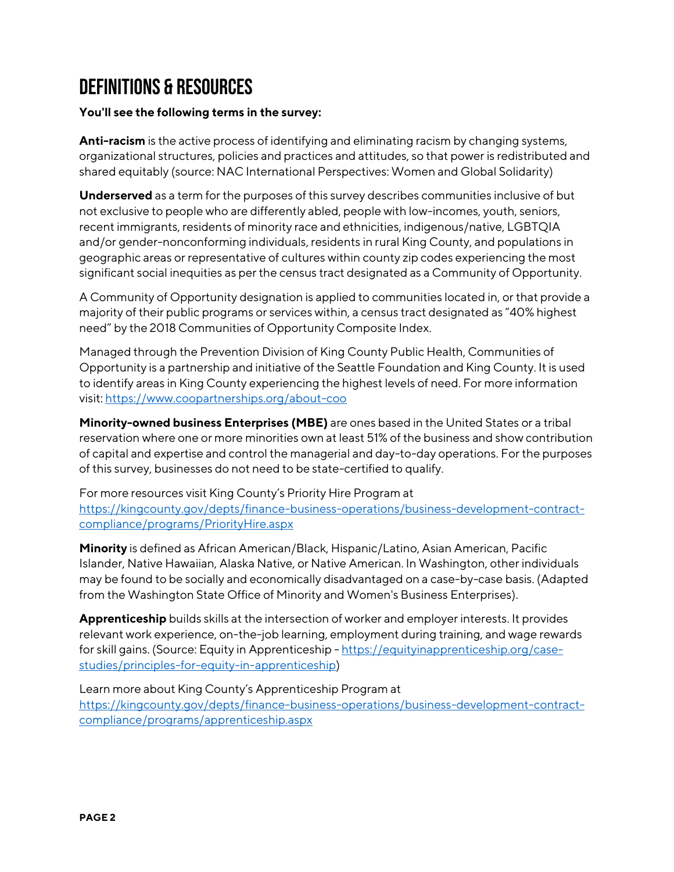# DEFINITIONS & RESOURCES

## **You'll see the following terms in the survey:**

**Anti-racism** is the active process of identifying and eliminating racism by changing systems, organizational structures, policies and practices and attitudes, so that power is redistributed and shared equitably (source: NAC International Perspectives: Women and Global Solidarity)

**Underserved** as a term for the purposes of this survey describes communities inclusive of but not exclusive to people who are differently abled, people with low-incomes, youth, seniors, recent immigrants, residents of minority race and ethnicities, indigenous/native, LGBTQIA and/or gender-nonconforming individuals, residents in rural King County, and populations in geographic areas or representative of cultures within county zip codes experiencing the most significant social inequities as per the census tract designated as a Community of Opportunity.

A Community of Opportunity designation is applied to communities located in, or that provide a majority of their public programs or services within, a census tract designated as "40% highest need" by the 2018 Communities of Opportunity Composite Index.

Managed through the Prevention Division of King County Public Health, Communities of Opportunity is a partnership and initiative of the Seattle Foundation and King County. It is used to identify areas in King County experiencing the highest levels of need. For more information visit[: https://www.coopartnerships.org/about-coo](https://www.coopartnerships.org/about-coo)

**Minority-owned business Enterprises (MBE)** are ones based in the United States or a tribal reservation where one or more minorities own at least 51% of the business and show contribution of capital and expertise and control the managerial and day-to-day operations. For the purposes of this survey, businesses do not need to be state-certified to qualify.

For more resources visit King County's Priority Hire Program at [https://kingcounty.gov/depts/finance-business-operations/business-development-contract](https://kingcounty.gov/depts/finance-business-operations/business-development-contract-compliance/programs/PriorityHire.aspx)[compliance/programs/PriorityHire.aspx](https://kingcounty.gov/depts/finance-business-operations/business-development-contract-compliance/programs/PriorityHire.aspx)

**Minority** is defined as African American/Black, Hispanic/Latino, Asian American, Pacific Islander, Native Hawaiian, Alaska Native, or Native American. In Washington, other individuals may be found to be socially and economically disadvantaged on a case-by-case basis. (Adapted from the Washington State Office of Minority and Women's Business Enterprises).

**Apprenticeship** builds skills at the intersection of worker and employer interests. It provides relevant work experience, on-the-job learning, employment during training, and wage rewards for skill gains. (Source: Equity in Apprenticeship - [https://equityinapprenticeship.org/case](https://equityinapprenticeship.org/case-studies/principles-for-equity-in-apprenticeship)[studies/principles-for-equity-in-apprenticeship\)](https://equityinapprenticeship.org/case-studies/principles-for-equity-in-apprenticeship)

Learn more about King County's Apprenticeship Program at [https://kingcounty.gov/depts/finance-business-operations/business-development-contract](https://kingcounty.gov/depts/finance-business-operations/business-development-contract-compliance/programs/apprenticeship.aspx)[compliance/programs/apprenticeship.aspx](https://kingcounty.gov/depts/finance-business-operations/business-development-contract-compliance/programs/apprenticeship.aspx)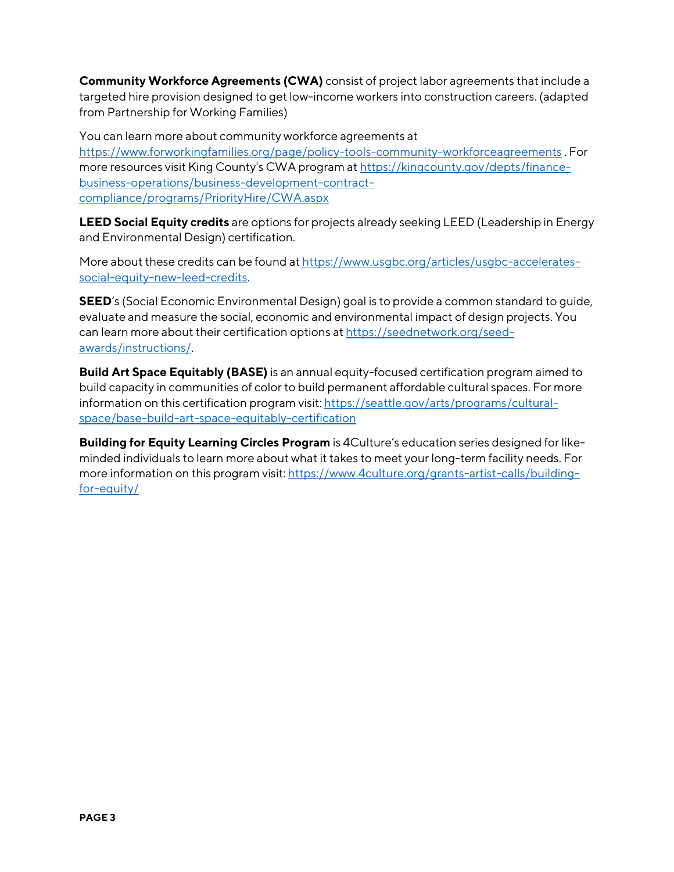**Community Workforce Agreements (CWA)** consist of project labor agreements that include a targeted hire provision designed to get low-income workers into construction careers. (adapted from Partnership for Working Families)

You can learn more about community workforce agreements at <https://www.forworkingfamilies.org/page/policy-tools-community-workforceagreements> . For more resources visit King County's CWA program at [https://kingcounty.gov/depts/finance](https://kingcounty.gov/depts/finance-business-operations/business-development-contract-compliance/programs/PriorityHire/CWA.aspx)[business-operations/business-development-contract](https://kingcounty.gov/depts/finance-business-operations/business-development-contract-compliance/programs/PriorityHire/CWA.aspx)[compliance/programs/PriorityHire/CWA.aspx](https://kingcounty.gov/depts/finance-business-operations/business-development-contract-compliance/programs/PriorityHire/CWA.aspx)

**LEED Social Equity credits** are options for projects already seeking LEED (Leadership in Energy and Environmental Design) certification.

More about these credits can be found a[t https://www.usgbc.org/articles/usgbc-accelerates](https://www.usgbc.org/articles/usgbc-accelerates-social-equity-new-leed-credits)[social-equity-new-leed-credits.](https://www.usgbc.org/articles/usgbc-accelerates-social-equity-new-leed-credits)

**SEED**'s (Social Economic Environmental Design) goal is to provide a common standard to guide, evaluate and measure the social, economic and environmental impact of design projects. You can learn more about their certification options a[t https://seednetwork.org/seed](https://seednetwork.org/seed-awards/instructions/)[awards/instructions/.](https://seednetwork.org/seed-awards/instructions/)

**Build Art Space Equitably (BASE)** is an annual equity-focused certification program aimed to build capacity in communities of color to build permanent affordable cultural spaces. For more information on this certification program visit: https://seattle.gov/arts/programs/culturalspace/base-build-art-space-equitably-certification

**Building for Equity Learning Circles Program** is 4Culture's education series designed for likeminded individuals to learn more about what it takes to meet your long-term facility needs. For more information on this program visit[: https://www.4culture.org/grants-artist-calls/building](https://www.4culture.org/grants-artist-calls/building-for-equity/)[for-equity/](https://www.4culture.org/grants-artist-calls/building-for-equity/)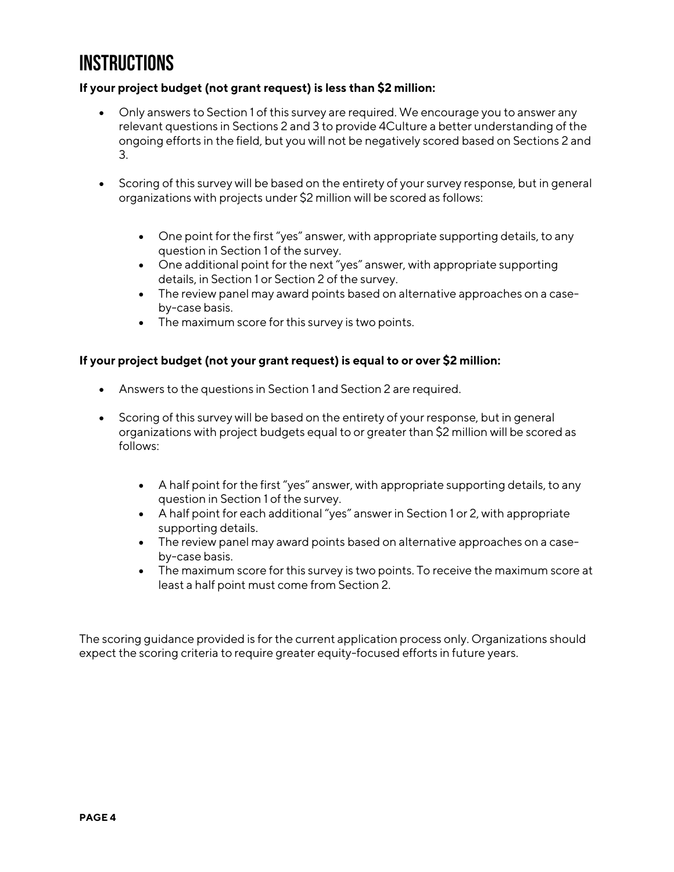# **INSTRUCTIONS**

## **If your project budget (not grant request) is less than \$2 million:**

- Only answers to Section 1 of this survey are required. We encourage you to answer any relevant questions in Sections 2 and 3 to provide 4Culture a better understanding of the ongoing efforts in the field, but you will not be negatively scored based on Sections 2 and 3.
- Scoring of this survey will be based on the entirety of your survey response, but in general organizations with projects under \$2 million will be scored as follows:
	- One point for the first "yes" answer, with appropriate supporting details, to any question in Section 1 of the survey.
	- One additional point for the next "yes" answer, with appropriate supporting details, in Section 1 or Section 2 of the survey.
	- The review panel may award points based on alternative approaches on a caseby-case basis.
	- The maximum score for this survey is two points.

#### **If your project budget (not your grant request) is equal to or over \$2 million:**

- Answers to the questions in Section 1 and Section 2 are required.
- Scoring of this survey will be based on the entirety of your response, but in general organizations with project budgets equal to or greater than \$2 million will be scored as follows:
	- A half point for the first "yes" answer, with appropriate supporting details, to any question in Section 1 of the survey.
	- A half point for each additional "yes" answer in Section 1 or 2, with appropriate supporting details.
	- The review panel may award points based on alternative approaches on a caseby-case basis.
	- The maximum score for this survey is two points. To receive the maximum score at least a half point must come from Section 2.

The scoring guidance provided is for the current application process only. Organizations should expect the scoring criteria to require greater equity-focused efforts in future years.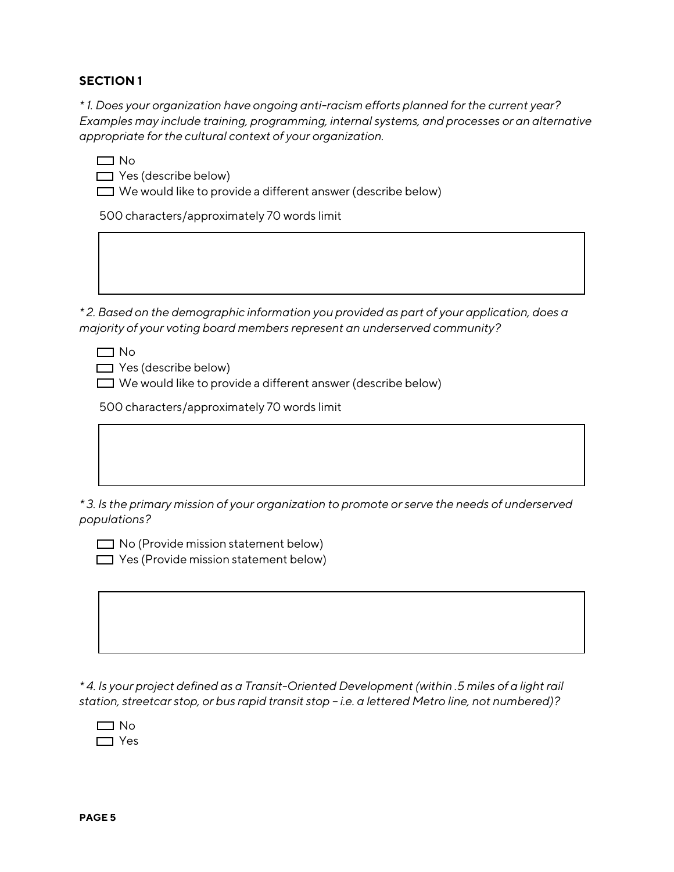### **SECTION 1**

*\* 1. Does your organization have ongoing anti-racism efforts planned for the current year? Examples may include training, programming, internal systems, and processes or an alternative appropriate for the cultural context of your organization.* 

 $\Box$  Yes (describe below)

 $\Box$  We would like to provide a different answer (describe below)

500 characters/approximately 70 words limit

*\* 2. Based on the demographic information you provided as part of your application, does a majority of your voting board members represent an underserved community?*

 $\Box$  No

 $\Box$  Yes (describe below)

 $\Box$  We would like to provide a different answer (describe below)

500 characters/approximately 70 words limit

*\* 3. Is the primary mission of your organization to promote or serve the needs of underserved populations?*

 $\Box$  No (Provide mission statement below)  $\Box$  Yes (Provide mission statement below)

*\* 4. Is your project defined as a Transit-Oriented Development (within .5 miles of a light rail station, streetcar stop, or bus rapid transit stop – i.e. a lettered Metro line, not numbered)?*

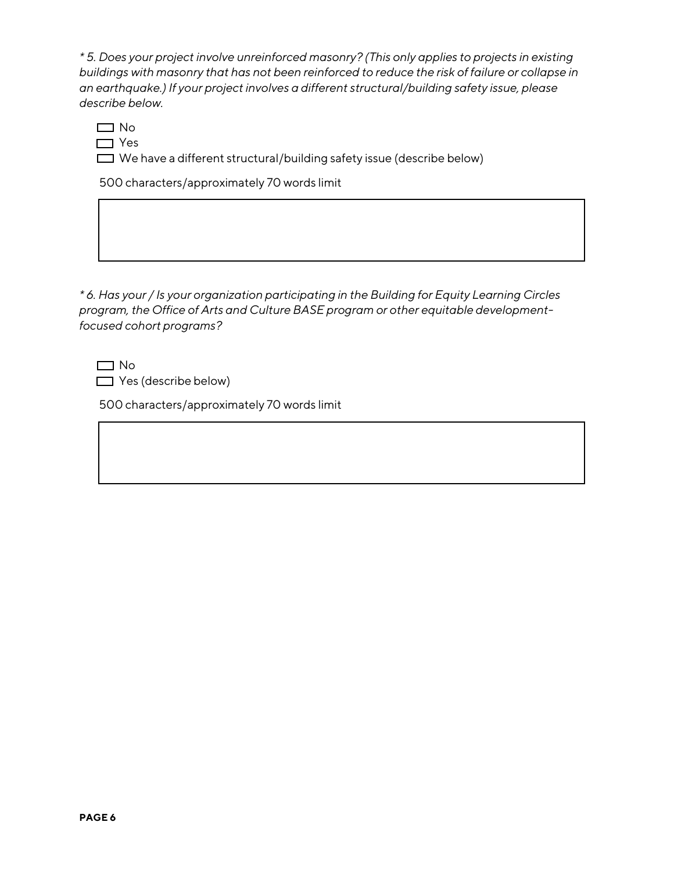*\* 5. Does your project involve unreinforced masonry? (This only applies to projects in existing buildings with masonry that has not been reinforced to reduce the risk of failure or collapse in an earthquake.) If your project involves a different structural/building safety issue, please describe below.*

 $\Box$  No  $\Box$  Yes

 $\Box$  We have a different structural/building safety issue (describe below)

500 characters/approximately 70 words limit

*\* 6. Has your / Is your organization participating in the Building for Equity Learning Circles program, the Office of Arts and Culture BASE program or other equitable developmentfocused cohort programs?*

 $\Box$  Yes (describe below)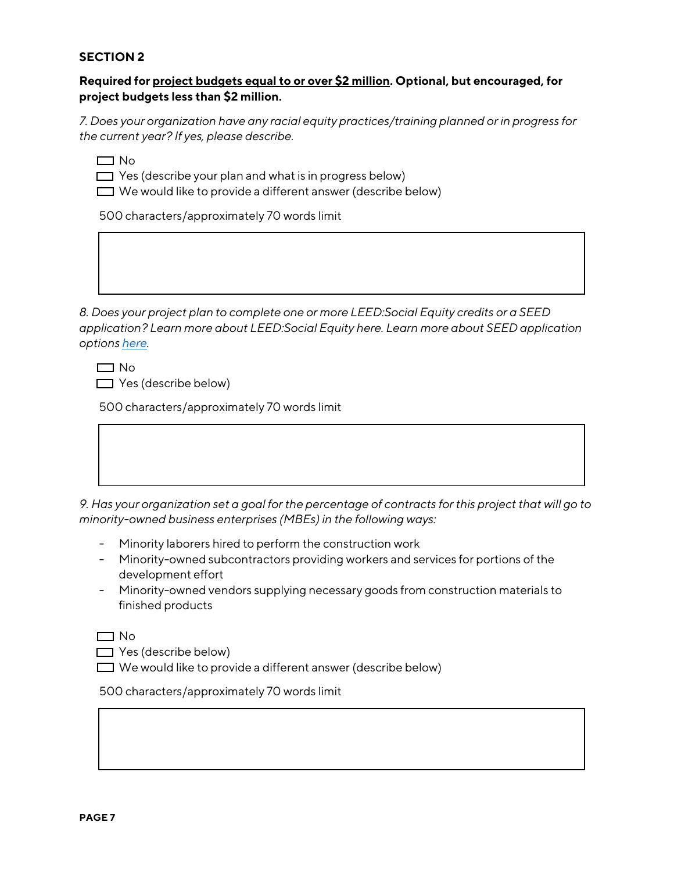### **SECTION 2**

### **Required for project budgets equal to or over \$2 million. Optional, but encouraged, for project budgets less than \$2 million.**

*7. Does your organization have any racial equity practices/training planned or in progress for the current year? If yes, please describe.*

 $\Box$  No

 $\Box$  Yes (describe your plan and what is in progress below)

 $\Box$  We would like to provide a different answer (describe below)

500 characters/approximately 70 words limit

*8. Does your project plan to complete one or more LEED:Social Equity credits or a SEED application? Learn more about LEED:Social Equity here. Learn more about SEED application options [here.](https://seednetwork.org/seed-awards/types-applications/)*

 $\Box$  No

 $\Box$  Yes (describe below)

500 characters/approximately 70 words limit

| Has vour organization set a goal for the perceptage of contracts for this project that will go to |
|---------------------------------------------------------------------------------------------------|

*9. Has your organization set a goal for the percentage of contracts for this project that will go to minority-owned business enterprises (MBEs) in the following ways:*

- Minority laborers hired to perform the construction work
- Minority-owned subcontractors providing workers and services for portions of the development effort
- Minority-owned vendors supplying necessary goods from construction materials to finished products

 $\Box$  No

- $\Box$  Yes (describe below)
- $\Box$  We would like to provide a different answer (describe below)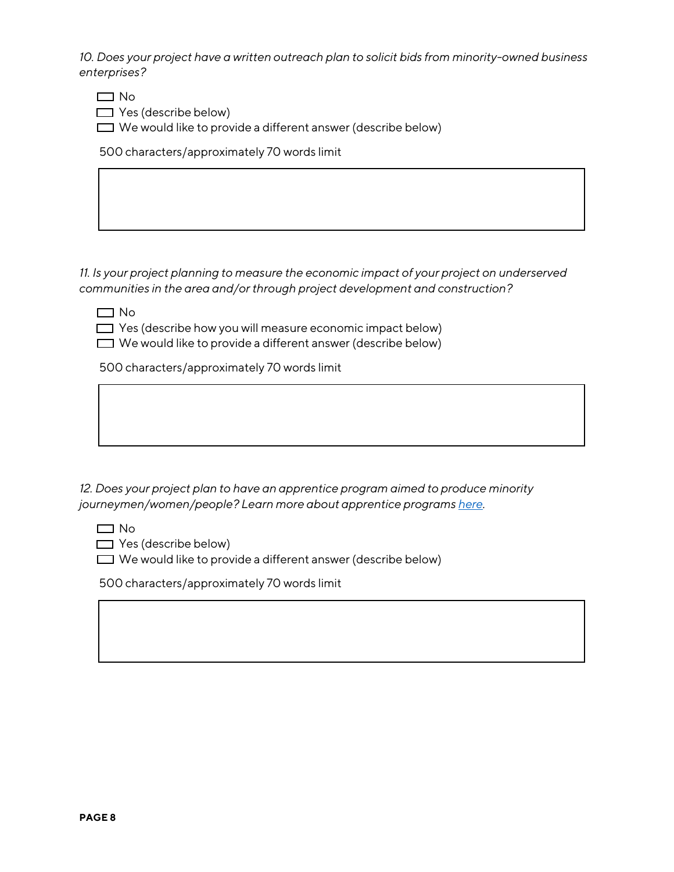*10. Does your project have a written outreach plan to solicit bids from minority-owned business enterprises?*

 $\Box$  No

 $\Box$  Yes (describe below)

 $\Box$  We would like to provide a different answer (describe below)

500 characters/approximately 70 words limit

*11. Is your project planning to measure the economic impact of your project on underserved communities in the area and/or through project development and construction?*

 $\Box$  No

 $\Box$  Yes (describe how you will measure economic impact below)

 $\Box$  We would like to provide a different answer (describe below)

500 characters/approximately 70 words limit

*12. Does your project plan to have an apprentice program aimed to produce minority journeymen/women/people? Learn more about apprentice program[s here.](https://equityinapprenticeship.org/case-studies/principles-for-equity-in-apprenticeship)*

 $\Box$  No

 $\Box$  Yes (describe below)

 $\Box$  We would like to provide a different answer (describe below)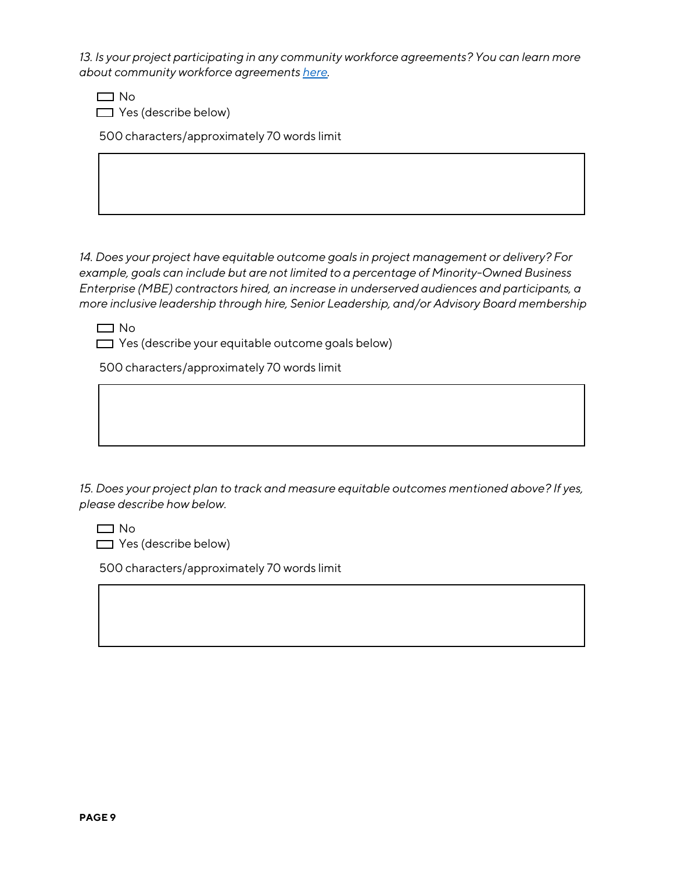*13. Is your project participating in any community workforce agreements? You can learn more about community workforce agreement[s here.](https://www.forworkingfamilies.org/page/policy-tools-community-workforce-agreements)*

 $\Box$  No

 $\Box$  Yes (describe below)

500 characters/approximately 70 words limit

*14. Does your project have equitable outcome goals in project management or delivery? For example, goals can include but are not limited to a percentage of Minority-Owned Business Enterprise (MBE) contractors hired, an increase in underserved audiences and participants, a more inclusive leadership through hire, Senior Leadership, and/or Advisory Board membership*

 $\Box$  No

 $\Box$  Yes (describe your equitable outcome goals below)

500 characters/approximately 70 words limit

*15. Does your project plan to track and measure equitable outcomes mentioned above? If yes, please describe how below.*

 $\Box$  No

 $\Box$  Yes (describe below)